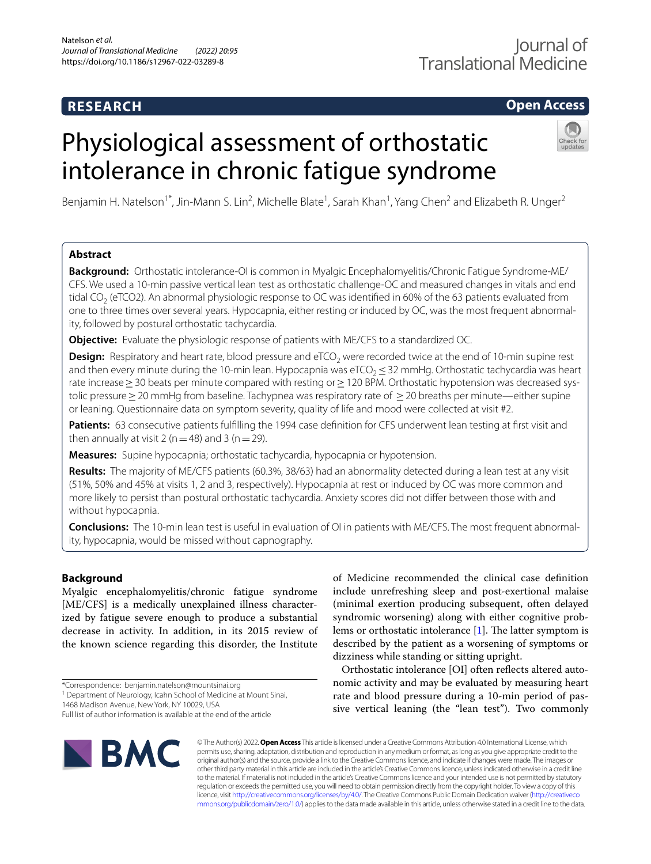## **RESEARCH**

## **Open Access**

# Physiological assessment of orthostatic intolerance in chronic fatigue syndrome



Benjamin H. Natelson<sup>1\*</sup>, Jin-Mann S. Lin<sup>2</sup>, Michelle Blate<sup>1</sup>, Sarah Khan<sup>1</sup>, Yang Chen<sup>2</sup> and Elizabeth R. Unger<sup>2</sup>

## **Abstract**

**Background:** Orthostatic intolerance-OI is common in Myalgic Encephalomyelitis/Chronic Fatigue Syndrome-ME/ CFS. We used a 10-min passive vertical lean test as orthostatic challenge-OC and measured changes in vitals and end tidal CO<sub>2</sub> (eTCO2). An abnormal physiologic response to OC was identified in 60% of the 63 patients evaluated from one to three times over several years. Hypocapnia, either resting or induced by OC, was the most frequent abnormality, followed by postural orthostatic tachycardia.

**Objective:** Evaluate the physiologic response of patients with ME/CFS to a standardized OC.

**Design:** Respiratory and heart rate, blood pressure and eTCO<sub>2</sub> were recorded twice at the end of 10-min supine rest and then every minute during the 10-min lean. Hypocapnia was eTCO<sub>2</sub> ≤ 32 mmHg. Orthostatic tachycardia was heart rate increase > 30 beats per minute compared with resting or > 120 BPM. Orthostatic hypotension was decreased systolic pressure≥20 mmHg from baseline. Tachypnea was respiratory rate of ≥20 breaths per minute—either supine or leaning. Questionnaire data on symptom severity, quality of life and mood were collected at visit #2.

Patients: 63 consecutive patients fulfilling the 1994 case definition for CFS underwent lean testing at first visit and then annually at visit 2 ( $n=48$ ) and 3 ( $n=29$ ).

**Measures:** Supine hypocapnia; orthostatic tachycardia, hypocapnia or hypotension.

**Results:** The majority of ME/CFS patients (60.3%, 38/63) had an abnormality detected during a lean test at any visit (51%, 50% and 45% at visits 1, 2 and 3, respectively). Hypocapnia at rest or induced by OC was more common and more likely to persist than postural orthostatic tachycardia. Anxiety scores did not difer between those with and without hypocapnia.

**Conclusions:** The 10-min lean test is useful in evaluation of OI in patients with ME/CFS. The most frequent abnormality, hypocapnia, would be missed without capnography.

## **Background**

Myalgic encephalomyelitis/chronic fatigue syndrome [ME/CFS] is a medically unexplained illness characterized by fatigue severe enough to produce a substantial decrease in activity. In addition, in its 2015 review of the known science regarding this disorder, the Institute

1468 Madison Avenue, New York, NY 10029, USA

of Medicine recommended the clinical case defnition include unrefreshing sleep and post-exertional malaise (minimal exertion producing subsequent, often delayed syndromic worsening) along with either cognitive problems or orthostatic intolerance  $[1]$  $[1]$ . The latter symptom is described by the patient as a worsening of symptoms or dizziness while standing or sitting upright.

Orthostatic intolerance [OI] often refects altered autonomic activity and may be evaluated by measuring heart rate and blood pressure during a 10-min period of passive vertical leaning (the "lean test"). Two commonly



© The Author(s) 2022. **Open Access** This article is licensed under a Creative Commons Attribution 4.0 International License, which permits use, sharing, adaptation, distribution and reproduction in any medium or format, as long as you give appropriate credit to the original author(s) and the source, provide a link to the Creative Commons licence, and indicate if changes were made. The images or other third party material in this article are included in the article's Creative Commons licence, unless indicated otherwise in a credit line to the material. If material is not included in the article's Creative Commons licence and your intended use is not permitted by statutory regulation or exceeds the permitted use, you will need to obtain permission directly from the copyright holder. To view a copy of this licence, visit [http://creativecommons.org/licenses/by/4.0/.](http://creativecommons.org/licenses/by/4.0/) The Creative Commons Public Domain Dedication waiver ([http://creativeco](http://creativecommons.org/publicdomain/zero/1.0/) [mmons.org/publicdomain/zero/1.0/](http://creativecommons.org/publicdomain/zero/1.0/)) applies to the data made available in this article, unless otherwise stated in a credit line to the data.

<sup>\*</sup>Correspondence: benjamin.natelson@mountsinai.org

<sup>&</sup>lt;sup>1</sup> Department of Neurology, Icahn School of Medicine at Mount Sinai,

Full list of author information is available at the end of the article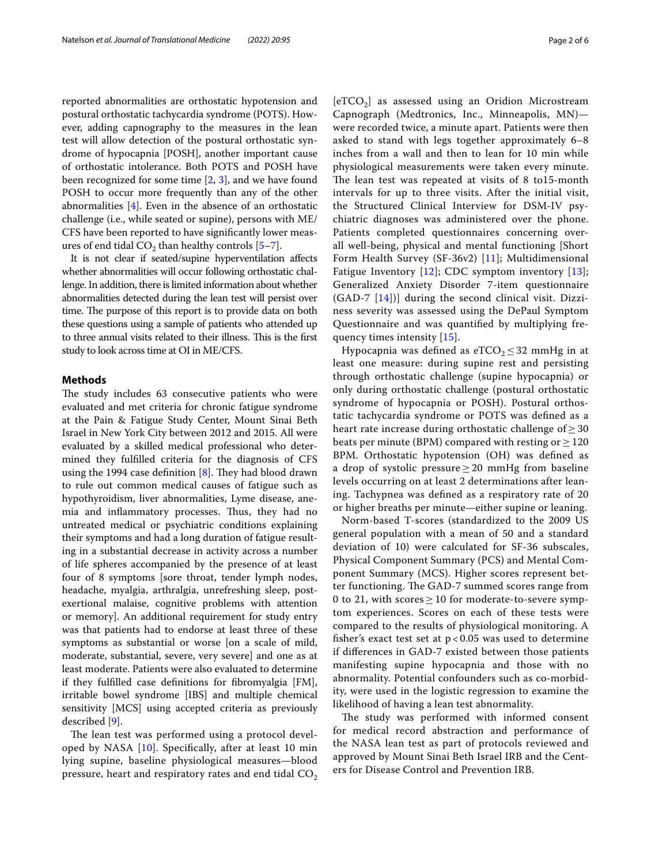reported abnormalities are orthostatic hypotension and postural orthostatic tachycardia syndrome (POTS). However, adding capnography to the measures in the lean test will allow detection of the postural orthostatic syndrome of hypocapnia [POSH], another important cause of orthostatic intolerance. Both POTS and POSH have been recognized for some time [\[2](#page-5-1), [3\]](#page-5-2), and we have found POSH to occur more frequently than any of the other abnormalities [[4](#page-5-3)]. Even in the absence of an orthostatic challenge (i.e., while seated or supine), persons with ME/ CFS have been reported to have signifcantly lower measures of end tidal  $CO<sub>2</sub>$  than healthy controls [[5–](#page-5-4)[7\]](#page-5-5).

It is not clear if seated/supine hyperventilation afects whether abnormalities will occur following orthostatic challenge. In addition, there is limited information about whether abnormalities detected during the lean test will persist over time. The purpose of this report is to provide data on both these questions using a sample of patients who attended up to three annual visits related to their illness. This is the first study to look across time at OI in ME/CFS.

#### **Methods**

The study includes 63 consecutive patients who were evaluated and met criteria for chronic fatigue syndrome at the Pain & Fatigue Study Center, Mount Sinai Beth Israel in New York City between 2012 and 2015. All were evaluated by a skilled medical professional who determined they fulflled criteria for the diagnosis of CFS using the 1994 case definition  $[8]$  $[8]$ . They had blood drawn to rule out common medical causes of fatigue such as hypothyroidism, liver abnormalities, Lyme disease, anemia and inflammatory processes. Thus, they had no untreated medical or psychiatric conditions explaining their symptoms and had a long duration of fatigue resulting in a substantial decrease in activity across a number of life spheres accompanied by the presence of at least four of 8 symptoms [sore throat, tender lymph nodes, headache, myalgia, arthralgia, unrefreshing sleep, postexertional malaise, cognitive problems with attention or memory]. An additional requirement for study entry was that patients had to endorse at least three of these symptoms as substantial or worse [on a scale of mild, moderate, substantial, severe, very severe] and one as at least moderate. Patients were also evaluated to determine if they fulflled case defnitions for fbromyalgia [FM], irritable bowel syndrome [IBS] and multiple chemical sensitivity [MCS] using accepted criteria as previously described [[9\]](#page-5-7).

The lean test was performed using a protocol developed by NASA  $[10]$  $[10]$ . Specifically, after at least 10 min lying supine, baseline physiological measures—blood pressure, heart and respiratory rates and end tidal  $CO<sub>2</sub>$ 

 $[eTCO<sub>2</sub>]$  as assessed using an Oridion Microstream Capnograph (Medtronics, Inc., Minneapolis, MN) were recorded twice, a minute apart. Patients were then asked to stand with legs together approximately 6–8 inches from a wall and then to lean for 10 min while physiological measurements were taken every minute. The lean test was repeated at visits of 8 to15-month intervals for up to three visits. After the initial visit, the Structured Clinical Interview for DSM-IV psychiatric diagnoses was administered over the phone. Patients completed questionnaires concerning overall well-being, physical and mental functioning [Short Form Health Survey (SF-36v2) [[11](#page-5-9)]; Multidimensional Fatigue Inventory  $[12]$ ; CDC symptom inventory  $[13]$  $[13]$  $[13]$ ; Generalized Anxiety Disorder 7-item questionnaire (GAD-7 [\[14](#page-5-12)])] during the second clinical visit. Dizziness severity was assessed using the DePaul Symptom Questionnaire and was quantifed by multiplying frequency times intensity [\[15\]](#page-5-13).

Hypocapnia was defined as eTCO<sub>2</sub>  $\leq$  32 mmHg in at least one measure: during supine rest and persisting through orthostatic challenge (supine hypocapnia) or only during orthostatic challenge (postural orthostatic syndrome of hypocapnia or POSH). Postural orthostatic tachycardia syndrome or POTS was defned as a heart rate increase during orthostatic challenge of  $\geq$  30 beats per minute (BPM) compared with resting or  $\geq 120$ BPM. Orthostatic hypotension (OH) was defned as a drop of systolic pressure  $\geq$  20 mmHg from baseline levels occurring on at least 2 determinations after leaning. Tachypnea was defned as a respiratory rate of 20 or higher breaths per minute—either supine or leaning.

Norm-based T-scores (standardized to the 2009 US general population with a mean of 50 and a standard deviation of 10) were calculated for SF-36 subscales, Physical Component Summary (PCS) and Mental Component Summary (MCS). Higher scores represent better functioning. The GAD-7 summed scores range from 0 to 21, with scores  $\geq$  10 for moderate-to-severe symptom experiences. Scores on each of these tests were compared to the results of physiological monitoring. A fisher's exact test set at  $p < 0.05$  was used to determine if diferences in GAD-7 existed between those patients manifesting supine hypocapnia and those with no abnormality. Potential confounders such as co-morbidity, were used in the logistic regression to examine the likelihood of having a lean test abnormality.

The study was performed with informed consent for medical record abstraction and performance of the NASA lean test as part of protocols reviewed and approved by Mount Sinai Beth Israel IRB and the Centers for Disease Control and Prevention IRB.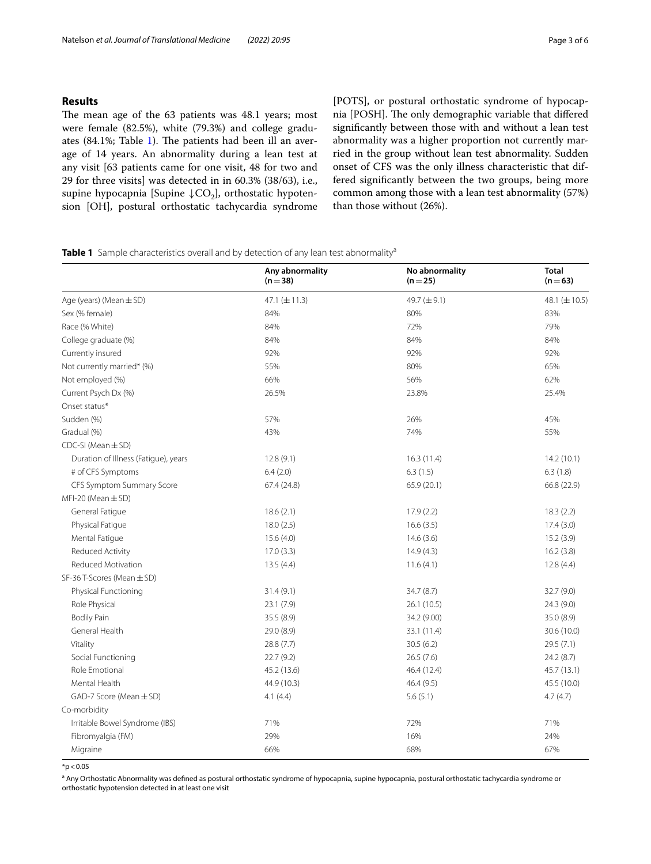## **Results**

The mean age of the 63 patients was 48.1 years; most were female (82.5%), white (79.3%) and college gradu-ates (84.1%; Table [1\)](#page-2-0). The patients had been ill an average of 14 years. An abnormality during a lean test at any visit [63 patients came for one visit, 48 for two and 29 for three visits] was detected in in 60.3% (38/63), i.e., supine hypocapnia [Supine  $\downarrow CO_2$ ], orthostatic hypotension [OH], postural orthostatic tachycardia syndrome [POTS], or postural orthostatic syndrome of hypocapnia [POSH]. The only demographic variable that differed signifcantly between those with and without a lean test abnormality was a higher proportion not currently married in the group without lean test abnormality. Sudden onset of CFS was the only illness characteristic that differed signifcantly between the two groups, being more common among those with a lean test abnormality (57%) than those without (26%).

<span id="page-2-0"></span>

|  | Table 1 Sample characteristics overall and by detection of any lean test abnormality <sup>a</sup> |  |  |  |
|--|---------------------------------------------------------------------------------------------------|--|--|--|
|--|---------------------------------------------------------------------------------------------------|--|--|--|

|                                      | Any abnormality<br>$(n=38)$ | No abnormality<br>$(n=25)$ | <b>Total</b><br>$(n=63)$ |
|--------------------------------------|-----------------------------|----------------------------|--------------------------|
| Age (years) (Mean ± SD)              | 47.1 $(\pm 11.3)$           | 49.7 (±9.1)                | 48.1 $(\pm 10.5)$        |
| Sex (% female)                       | 84%                         | 80%                        | 83%                      |
| Race (% White)                       | 84%                         | 72%                        | 79%                      |
| College graduate (%)                 | 84%                         | 84%                        | 84%                      |
| Currently insured                    | 92%                         | 92%                        | 92%                      |
| Not currently married* (%)           | 55%                         | 80%                        | 65%                      |
| Not employed (%)                     | 66%                         | 56%                        | 62%                      |
| Current Psych Dx (%)                 | 26.5%                       | 23.8%                      | 25.4%                    |
| Onset status*                        |                             |                            |                          |
| Sudden (%)                           | 57%                         | 26%                        | 45%                      |
| Gradual (%)                          | 43%                         | 74%                        | 55%                      |
| $CDC-SI$ (Mean $\pm$ SD)             |                             |                            |                          |
| Duration of Illness (Fatigue), years | 12.8(9.1)                   | 16.3(11.4)                 | 14.2(10.1)               |
| # of CFS Symptoms                    | 6.4(2.0)                    | 6.3(1.5)                   | 6.3(1.8)                 |
| CFS Symptom Summary Score            | 67.4 (24.8)                 | 65.9(20.1)                 | 66.8 (22.9)              |
| $MFI-20$ (Mean $\pm$ SD)             |                             |                            |                          |
| General Fatigue                      | 18.6(2.1)                   | 17.9(2.2)                  | 18.3(2.2)                |
| Physical Fatigue                     | 18.0(2.5)                   | 16.6(3.5)                  | 17.4(3.0)                |
| Mental Fatique                       | 15.6(4.0)                   | 14.6(3.6)                  | 15.2(3.9)                |
| Reduced Activity                     | 17.0(3.3)                   | 14.9(4.3)                  | 16.2(3.8)                |
| Reduced Motivation                   | 13.5(4.4)                   | 11.6(4.1)                  | 12.8(4.4)                |
| SF-36 T-Scores (Mean ± SD)           |                             |                            |                          |
| Physical Functioning                 | 31.4(9.1)                   | 34.7 (8.7)                 | 32.7 (9.0)               |
| Role Physical                        | 23.1(7.9)                   | 26.1 (10.5)                | 24.3 (9.0)               |
| <b>Bodily Pain</b>                   | 35.5 (8.9)                  | 34.2 (9.00)                | 35.0 (8.9)               |
| General Health                       | 29.0 (8.9)                  | 33.1 (11.4)                | 30.6 (10.0)              |
| Vitality                             | 28.8 (7.7)                  | 30.5(6.2)                  | 29.5(7.1)                |
| Social Functioning                   | 22.7(9.2)                   | 26.5(7.6)                  | 24.2(8.7)                |
| Role Emotional                       | 45.2 (13.6)                 | 46.4 (12.4)                | 45.7 (13.1)              |
| Mental Health                        | 44.9 (10.3)                 | 46.4 (9.5)                 | 45.5 (10.0)              |
| GAD-7 Score (Mean ± SD)              | 4.1(4.4)                    | 5.6(5.1)                   | 4.7(4.7)                 |
| Co-morbidity                         |                             |                            |                          |
| Irritable Bowel Syndrome (IBS)       | 71%                         | 72%                        | 71%                      |
| Fibromyalgia (FM)                    | 29%                         | 16%                        | 24%                      |
| Migraine                             | 66%                         | 68%                        | 67%                      |

 $*p < 0.05$ 

<sup>a</sup> Any Orthostatic Abnormality was defined as postural orthostatic syndrome of hypocapnia, supine hypocapnia, postural orthostatic tachycardia syndrome or orthostatic hypotension detected in at least one visit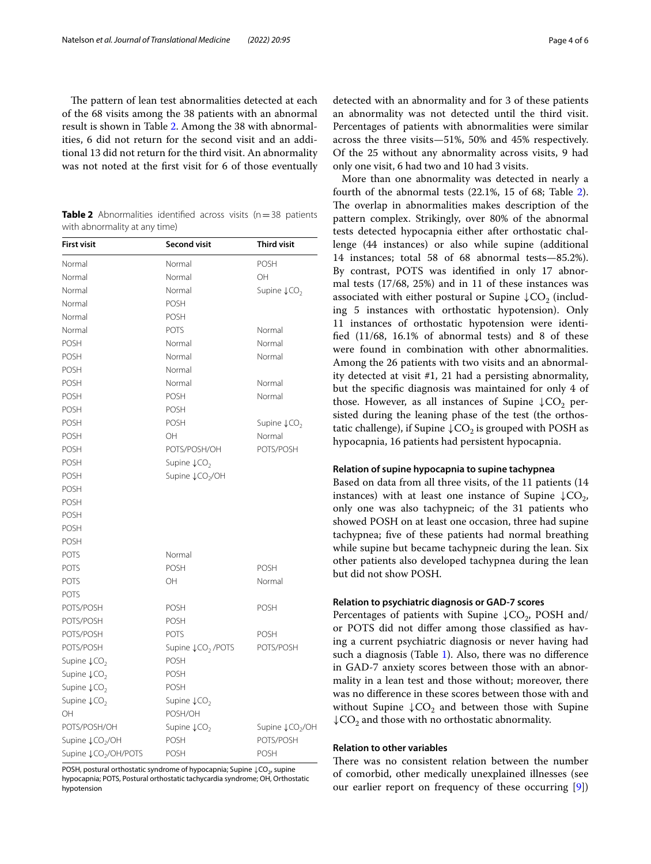The pattern of lean test abnormalities detected at each of the 68 visits among the 38 patients with an abnormal result is shown in Table [2](#page-3-0). Among the 38 with abnormalities, 6 did not return for the second visit and an additional 13 did not return for the third visit. An abnormality was not noted at the frst visit for 6 of those eventually

<span id="page-3-0"></span>**Table 2** Abnormalities identified across visits (n=38 patients with abnormality at any time)

| <b>First visit</b>                  | <b>Second visit</b>                       | <b>Third visit</b>                  |
|-------------------------------------|-------------------------------------------|-------------------------------------|
| Normal                              | Normal                                    | <b>POSH</b>                         |
| Normal                              | Normal                                    | OH                                  |
| Normal                              | Normal                                    | Supine $\downarrow$ CO <sub>2</sub> |
| Normal                              | POSH                                      |                                     |
| Normal                              | POSH                                      |                                     |
| Normal                              | POTS                                      | Normal                              |
| <b>POSH</b>                         | Normal                                    | Normal                              |
| <b>POSH</b>                         | Normal                                    | Normal                              |
| <b>POSH</b>                         | Normal                                    |                                     |
| <b>POSH</b>                         | Normal                                    | Normal                              |
| <b>POSH</b>                         | POSH                                      | Normal                              |
| <b>POSH</b>                         | POSH                                      |                                     |
| <b>POSH</b>                         | POSH                                      | Supine $\downarrow$ CO <sub>2</sub> |
| <b>POSH</b>                         | OH                                        | Normal                              |
| <b>POSH</b>                         | POTS/POSH/OH                              | POTS/POSH                           |
| <b>POSH</b>                         | Supine $\downarrow$ CO <sub>2</sub>       |                                     |
| <b>POSH</b>                         | Supine LCO <sub>2</sub> /OH               |                                     |
| <b>POSH</b>                         |                                           |                                     |
| <b>POSH</b>                         |                                           |                                     |
| <b>POSH</b>                         |                                           |                                     |
| <b>POSH</b>                         |                                           |                                     |
| <b>POSH</b>                         |                                           |                                     |
| <b>POTS</b>                         | Normal                                    |                                     |
| <b>POTS</b>                         | POSH                                      | <b>POSH</b>                         |
| <b>POTS</b>                         | OH                                        | Normal                              |
| <b>POTS</b>                         |                                           |                                     |
| POTS/POSH                           | POSH                                      | <b>POSH</b>                         |
| POTS/POSH                           | <b>POSH</b>                               |                                     |
| POTS/POSH                           | <b>POTS</b>                               | <b>POSH</b>                         |
| POTS/POSH                           | Supine $\downarrow$ CO <sub>2</sub> /POTS | POTS/POSH                           |
| Supine $\downarrow$ CO <sub>2</sub> | POSH                                      |                                     |
| Supine ↓CO <sub>2</sub>             | POSH                                      |                                     |
| Supine $\downarrow$ CO <sub>2</sub> | <b>POSH</b>                               |                                     |
| Supine $\downarrow$ CO <sub>2</sub> | Supine $\downarrow$ CO <sub>2</sub>       |                                     |
| OH                                  | POSH/OH                                   |                                     |
| POTS/POSH/OH                        | Supine $\downarrow$ CO <sub>2</sub>       | Supine ↓CO <sub>2</sub> /OH         |
| Supine ↓CO <sub>2</sub> /OH         | <b>POSH</b>                               | POTS/POSH                           |
| Supine ↓CO <sub>2</sub> /OH/POTS    | POSH                                      | <b>POSH</b>                         |

POSH, postural orthostatic syndrome of hypocapnia; Supine ↓CO<sub>2</sub>, supine hypocapnia; POTS, Postural orthostatic tachycardia syndrome; OH, Orthostatic hypotension

detected with an abnormality and for 3 of these patients an abnormality was not detected until the third visit. Percentages of patients with abnormalities were similar across the three visits—51%, 50% and 45% respectively. Of the 25 without any abnormality across visits, 9 had only one visit, 6 had two and 10 had 3 visits.

More than one abnormality was detected in nearly a fourth of the abnormal tests (22.1%, 15 of 68; Table [2](#page-3-0)). The overlap in abnormalities makes description of the pattern complex. Strikingly, over 80% of the abnormal tests detected hypocapnia either after orthostatic challenge (44 instances) or also while supine (additional 14 instances; total 58 of 68 abnormal tests—85.2%). By contrast, POTS was identifed in only 17 abnormal tests (17/68, 25%) and in 11 of these instances was associated with either postural or Supine  $\downarrow$ CO<sub>2</sub> (including 5 instances with orthostatic hypotension). Only 11 instances of orthostatic hypotension were identifed (11/68, 16.1% of abnormal tests) and 8 of these were found in combination with other abnormalities. Among the 26 patients with two visits and an abnormality detected at visit #1, 21 had a persisting abnormality, but the specifc diagnosis was maintained for only 4 of those. However, as all instances of Supine  $\downarrow$ CO<sub>2</sub> persisted during the leaning phase of the test (the orthostatic challenge), if Supine  $\downarrow$ CO<sub>2</sub> is grouped with POSH as hypocapnia, 16 patients had persistent hypocapnia.

### **Relation of supine hypocapnia to supine tachypnea**

Based on data from all three visits, of the 11 patients (14 instances) with at least one instance of Supine  $\downarrow$ CO<sub>2</sub>, only one was also tachypneic; of the 31 patients who showed POSH on at least one occasion, three had supine tachypnea; fve of these patients had normal breathing while supine but became tachypneic during the lean. Six other patients also developed tachypnea during the lean but did not show POSH.

## **Relation to psychiatric diagnosis or GAD‑7 scores**

Percentages of patients with Supine  $\downarrow$ CO<sub>2</sub>, POSH and/ or POTS did not difer among those classifed as having a current psychiatric diagnosis or never having had such a diagnosis (Table [1](#page-2-0)). Also, there was no diference in GAD-7 anxiety scores between those with an abnormality in a lean test and those without; moreover, there was no diference in these scores between those with and without Supine  $\downarrow$ CO<sub>2</sub> and between those with Supine  $\downarrow$ CO<sub>2</sub> and those with no orthostatic abnormality.

#### **Relation to other variables**

There was no consistent relation between the number of comorbid, other medically unexplained illnesses (see our earlier report on frequency of these occurring [\[9](#page-5-7)])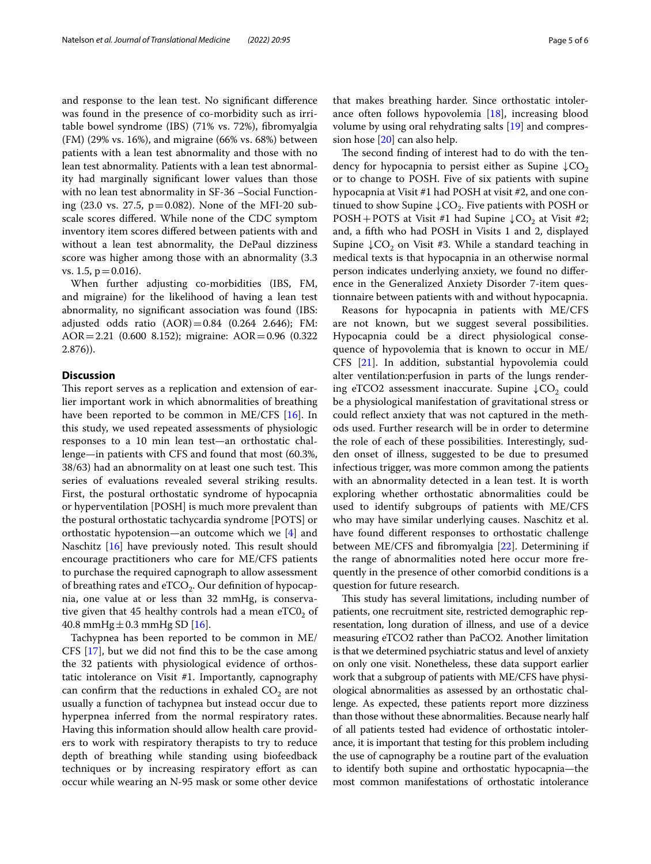and response to the lean test. No signifcant diference was found in the presence of co-morbidity such as irritable bowel syndrome (IBS) (71% vs. 72%), fbromyalgia (FM) (29% vs. 16%), and migraine (66% vs. 68%) between patients with a lean test abnormality and those with no lean test abnormality. Patients with a lean test abnormality had marginally signifcant lower values than those with no lean test abnormality in SF-36 –Social Functioning (23.0 vs. 27.5,  $p=0.082$ ). None of the MFI-20 subscale scores difered. While none of the CDC symptom inventory item scores difered between patients with and without a lean test abnormality, the DePaul dizziness score was higher among those with an abnormality (3.3 vs. 1.5,  $p = 0.016$ ).

When further adjusting co-morbidities (IBS, FM, and migraine) for the likelihood of having a lean test abnormality, no signifcant association was found (IBS: adjusted odds ratio  $(AOR) = 0.84$   $(0.264 \ 2.646)$ ; FM: AOR=2.21 (0.600 8.152); migraine: AOR=0.96 (0.322 2.876)).

#### **Discussion**

This report serves as a replication and extension of earlier important work in which abnormalities of breathing have been reported to be common in ME/CFS [[16\]](#page-5-14). In this study, we used repeated assessments of physiologic responses to a 10 min lean test—an orthostatic challenge—in patients with CFS and found that most (60.3%, 38/63) had an abnormality on at least one such test. This series of evaluations revealed several striking results. First, the postural orthostatic syndrome of hypocapnia or hyperventilation [POSH] is much more prevalent than the postural orthostatic tachycardia syndrome [POTS] or orthostatic hypotension—an outcome which we [[4\]](#page-5-3) and Naschitz  $[16]$  $[16]$  $[16]$  have previously noted. This result should encourage practitioners who care for ME/CFS patients to purchase the required capnograph to allow assessment of breathing rates and  $eTCO<sub>2</sub>$ . Our definition of hypocapnia, one value at or less than 32 mmHg, is conservative given that 45 healthy controls had a mean  $eTC0$ , of 40.8 mmHg $\pm$ 0.3 mmHg SD [[16\]](#page-5-14).

Tachypnea has been reported to be common in ME/ CFS [\[17](#page-5-15)], but we did not fnd this to be the case among the 32 patients with physiological evidence of orthostatic intolerance on Visit #1. Importantly, capnography can confirm that the reductions in exhaled  $CO<sub>2</sub>$  are not usually a function of tachypnea but instead occur due to hyperpnea inferred from the normal respiratory rates. Having this information should allow health care providers to work with respiratory therapists to try to reduce depth of breathing while standing using biofeedback techniques or by increasing respiratory effort as can occur while wearing an N-95 mask or some other device that makes breathing harder. Since orthostatic intolerance often follows hypovolemia [\[18](#page-5-16)], increasing blood volume by using oral rehydrating salts [[19](#page-5-17)] and compression hose [\[20](#page-5-18)] can also help.

The second finding of interest had to do with the tendency for hypocapnia to persist either as Supine  $\downarrow$ CO<sub>2</sub> or to change to POSH. Five of six patients with supine hypocapnia at Visit #1 had POSH at visit #2, and one continued to show Supine  $\downarrow$ CO<sub>2</sub>. Five patients with POSH or POSH+POTS at Visit #1 had Supine  $\downarrow$ CO<sub>2</sub> at Visit #2; and, a ffth who had POSH in Visits 1 and 2, displayed Supine  $\downarrow$  CO<sub>2</sub> on Visit #3. While a standard teaching in medical texts is that hypocapnia in an otherwise normal person indicates underlying anxiety, we found no diference in the Generalized Anxiety Disorder 7-item questionnaire between patients with and without hypocapnia.

Reasons for hypocapnia in patients with ME/CFS are not known, but we suggest several possibilities. Hypocapnia could be a direct physiological consequence of hypovolemia that is known to occur in ME/ CFS [[21\]](#page-5-19). In addition, substantial hypovolemia could alter ventilation:perfusion in parts of the lungs rendering eTCO2 assessment inaccurate. Supine  $\downarrow$ CO<sub>2</sub> could be a physiological manifestation of gravitational stress or could refect anxiety that was not captured in the methods used. Further research will be in order to determine the role of each of these possibilities. Interestingly, sudden onset of illness, suggested to be due to presumed infectious trigger, was more common among the patients with an abnormality detected in a lean test. It is worth exploring whether orthostatic abnormalities could be used to identify subgroups of patients with ME/CFS who may have similar underlying causes. Naschitz et al. have found diferent responses to orthostatic challenge between ME/CFS and fbromyalgia [\[22](#page-5-20)]. Determining if the range of abnormalities noted here occur more frequently in the presence of other comorbid conditions is a question for future research.

This study has several limitations, including number of patients, one recruitment site, restricted demographic representation, long duration of illness, and use of a device measuring eTCO2 rather than PaCO2. Another limitation is that we determined psychiatric status and level of anxiety on only one visit. Nonetheless, these data support earlier work that a subgroup of patients with ME/CFS have physiological abnormalities as assessed by an orthostatic challenge. As expected, these patients report more dizziness than those without these abnormalities. Because nearly half of all patients tested had evidence of orthostatic intolerance, it is important that testing for this problem including the use of capnography be a routine part of the evaluation to identify both supine and orthostatic hypocapnia—the most common manifestations of orthostatic intolerance